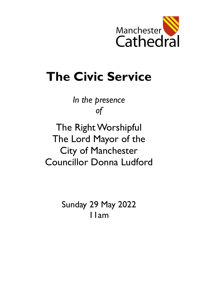

# **The Civic Service**

*In the presence of*

The Right Worshipful The Lord Mayor of the City of Manchester Councillor Donna Ludford

> Sunday 29 May 2022 11am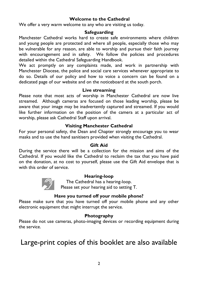#### **Welcome to the Cathedral**

We offer a very warm welcome to any who are visiting us today.

#### **Safeguarding**

Manchester Cathedral works hard to create safe environments where children and young people are protected and where all people, especially those who may be vulnerable for any reason, are able to worship and pursue their faith journey with encouragement and in safety. We follow the policies and procedures detailed within the Cathedral Safeguarding Handbook.

We act promptly on any complaints made, and work in partnership with Manchester Diocese, the police and social care services whenever appropriate to do so. Details of our policy and how to voice a concern can be found on a dedicated page of our website and on the noticeboard at the south porch.

#### **Live streaming**

Please note that most acts of worship in Manchester Cathedral are now live streamed. Although cameras are focused on those leading worship, please be aware that your image may be inadvertently captured and streamed. If you would like further information on the position of the camera at a particular act of worship, please ask Cathedral Staff upon arrival.

#### **Visiting Manchester Cathedral**

For your personal safety, the Dean and Chapter strongly encourage you to wear masks and to use the hand sanitisers provided when visiting the Cathedral.

#### **Gift Aid**

During the service there will be a collection for the mission and aims of the Cathedral. If you would like the Cathedral to reclaim the tax that you have paid on the donation, at no cost to yourself, please use the Gift Aid envelope that is with this order of service.



#### **Hearing-loop**

The Cathedral has a hearing-loop. Please set your hearing aid to setting T.

#### **Have you turned off your mobile phone?**

Please make sure that you have turned off your mobile phone and any other electronic equipment that might interrupt the service.

#### **Photography**

Please do not use cameras, photo-imaging devices or recording equipment during the service.

# Large-print copies of this booklet are also available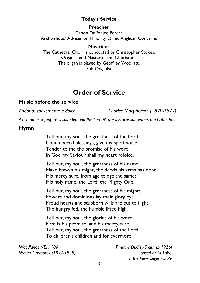### **Today's Service**

#### **Preacher**

Canon Dr Sanjee Perera Archbishops' Adviser on Minority Ethnic Anglican Concerns

#### **Musicians**

The Cathedral Choir is conducted by Christopher Stokes, Organist and Master of the Choristers. The organ is played by Geoffrey Woollatt, Sub-Organist

## **Order of Service**

### **Music before the service**

*Andante soavemente e dolce Charles Macpherson (1870-1927)*

*All stand as a fanfare is sounded and the Lord Mayor's Procession enters the Cathedral.* 

### **Hymn**

Tell out, my soul, the greatness of the Lord: Unnumbered blessings, give my spirit voice; Tender to me the promise of his word; In God my Saviour shall my heart rejoice.

Tell out, my soul, the greatness of his name: Make known his might, the deeds his arms has done; His mercy sure, from age to age the same; His holy name, the Lord, the Mighty One.

Tell out, my soul, the greatness of his might: Powers and dominions lay their glory by; Proud hearts and stubborn wills are put to flight, The hungry fed, the humble lifted high.

Tell out, my soul, the glories of his word: Firm is his promise, and his mercy sure. Tell out, my soul, the greatness of the Lord To children's children and for evermore.

*Woodlands NEH 186 Timothy Dudley-Smith (b 1926) Walter Greatorex (1877-1949) based on St Luke*

 *in the New English Bible*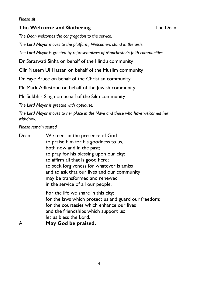#### *Please sit*

### **The Welcome and Gathering The Dean**

*The Dean welcomes the congregation to the service.*

*The Lord Mayor moves to the platform; Welcomers stand in the aisle.*

*The Lord Mayor is greeted by representatives of Manchester's faith communities.*

Dr Saraswati Sinha on behalf of the Hindu community

Cllr Naeem Ul Hassan on behalf of the Muslim community

Dr Faye Bruce on behalf of the Christian community

Mr Mark Adlestone on behalf of the Jewish community

Mr Sukbhir Singh on behalf of the Sikh community

*The Lord Mayor is greeted with applause.*

*The Lord Mayor moves to her place in the Nave and those who have welcomed her withdraw.*

*Please remain seated*

| Dean | We meet in the presence of God                       |  |  |
|------|------------------------------------------------------|--|--|
|      | to praise him for his goodness to us,                |  |  |
|      | both now and in the past;                            |  |  |
|      | to pray for his blessing upon our city;              |  |  |
|      | to affirm all that is good here;                     |  |  |
|      | to seek forgiveness for whatever is amiss            |  |  |
|      | and to ask that our lives and our community          |  |  |
|      | may be transformed and renewed                       |  |  |
|      | in the service of all our people.                    |  |  |
|      | For the life we share in this city;                  |  |  |
|      | for the laws which protect us and guard our freedom; |  |  |
|      | for the courtesies which enhance our lives           |  |  |
|      | and the friendships which support us:                |  |  |
|      | let us bless the Lord.                               |  |  |
| All  | May God be praised.                                  |  |  |
|      |                                                      |  |  |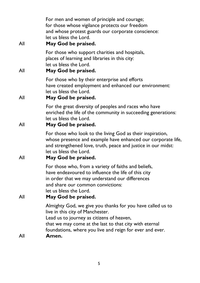| For men and women of principle and courage;<br>for those whose vigilance protects our freedom<br>and whose protest guards our corporate conscience:<br>let us bless the Lord.<br>May God be praised.                                                                       |
|----------------------------------------------------------------------------------------------------------------------------------------------------------------------------------------------------------------------------------------------------------------------------|
| For those who support charities and hospitals,<br>places of learning and libraries in this city:<br>let us bless the Lord.<br>May God be praised.                                                                                                                          |
| For those who by their enterprise and efforts<br>have created employment and enhanced our environment:<br>let us bless the Lord.<br>May God be praised.                                                                                                                    |
| For the great diversity of peoples and races who have<br>enriched the life of the community in succeeding generations:<br>let us bless the Lord.<br>May God be praised.                                                                                                    |
| For those who look to the living God as their inspiration,<br>whose presence and example have enhanced our corporate life,<br>and strengthened love, truth, peace and justice in our midst:<br>let us bless the Lord.<br>May God be praised.                               |
| For those who, from a variety of faiths and beliefs,<br>have endeavoured to influence the life of this city<br>in order that we may understand our differences<br>and share our common convictions:<br>let us bless the Lord.<br>May God be praised.                       |
| Almighty God, we give you thanks for you have called us to<br>live in this city of Manchester.<br>Lead us to journey as citizens of heaven,<br>that we may come at the last to that city with eternal<br>foundations, where you live and reign for ever and ever.<br>Amen. |
|                                                                                                                                                                                                                                                                            |

5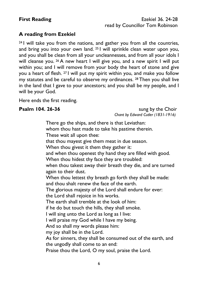### **A reading from Ezekiel**

<sup>24</sup> I will take you from the nations, and gather you from all the countries, and bring you into your own land. <sup>25</sup> I will sprinkle clean water upon you, and you shall be clean from all your uncleannesses, and from all your idols I will cleanse you. <sup>26</sup> A new heart I will give you, and a new spirit I will put within you; and I will remove from your body the heart of stone and give you a heart of flesh. <sup>27</sup> I will put my spirit within you, and make you follow my statutes and be careful to observe my ordinances. <sup>28</sup> Then you shall live in the land that I gave to your ancestors; and you shall be my people, and I will be your God.

Here ends the first reading.

**Psalm 104. 26-36** Sung by the Choir *Chant by Edward Cutler (1831-1916)*

> There go the ships, and there is that Leviathan: whom thou hast made to take his pastime therein. These wait all upon thee: that thou mayest give them meat in due season. When thou givest it them they gather it: and when thou openest thy hand they are filled with good. When thou hidest thy face they are troubled: when thou takest away their breath they die, and are turned again to their dust. When thou lettest thy breath go forth they shall be made: and thou shalt renew the face of the earth. The glorious majesty of the Lord shall endure for ever: the Lord shall rejoice in his works. The earth shall tremble at the look of him: if he do but touch the hills, they shall smoke. I will sing unto the Lord as long as I live: I will praise my God while I have my being. And so shall my words please him: my joy shall be in the Lord. As for sinners, they shall be consumed out of the earth, and the ungodly shall come to an end: Praise thou the Lord, O my soul, praise the Lord.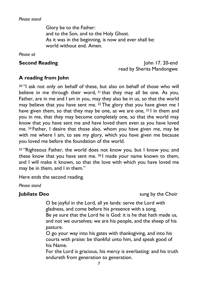#### *Please stand*

Glory be to the Father: and to the Son, and to the Holy Ghost. As it was in the beginning, is now and ever shall be: world without end. Amen.

*Please sit*

**Second Reading** John 17. 20-end read by Sherita Mandongwe

### **A reading from John**

<sup>20</sup> "I ask not only on behalf of these, but also on behalf of those who will believe in me through their word, <sup>21</sup> that they may all be one. As you, Father, are in me and I am in you, may they also be in us, so that the world may believe that you have sent me. <sup>22</sup> The glory that you have given me I have given them, so that they may be one, as we are one, <sup>23</sup> I in them and you in me, that they may become completely one, so that the world may know that you have sent me and have loved them even as you have loved me. <sup>24</sup> Father, I desire that those also, whom you have given me, may be with me where I am, to see my glory, which you have given me because you loved me before the foundation of the world.

<sup>25</sup> "Righteous Father, the world does not know you, but I know you; and these know that you have sent me. <sup>26</sup> I made your name known to them, and I will make it known, so that the love with which you have loved me may be in them, and I in them."

Here ends the second reading.

*Please stand*

**Jubilate Deo** sung by the Choir

O be joyful in the Lord, all ye lands: serve the Lord with gladness, and come before his presence with a song. Be ye sure that the Lord he is God: it is he that hath made us, and not we ourselves; we are his people, and the sheep of his pasture.

O go your way into his gates with thanksgiving, and into his courts with praise: be thankful unto him, and speak good of his Name.

For the Lord is gracious, his mercy is everlasting: and his truth endureth from generation to generation.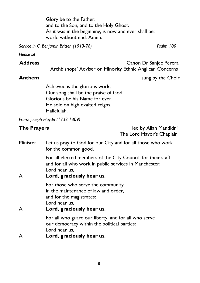Glory be to the Father: and to the Son, and to the Holy Ghost. As it was in the beginning, is now and ever shall be: world without end. Amen.

*Service in C, Benjamin Britten (1913-76) Psalm 100*

*Please sit*

**Address** Canon Dr Sanjee Perera Archbishops' Adviser on Minority Ethnic Anglican Concerns

**Anthem** sung by the Choir

Achieved is the glorious work; Our song shall be the praise of God. Glorious be his Name for ever. He sole on high exalted reigns. Hallelujah.

*Franz Joseph Haydn (1732-1809)* 

**The Prayers led by Allan Mandidni** The Lord Mayor's Chaplain

| Minister | Let us pray to God for our City and for all those who work<br>for the common good.                                                                                   |  |
|----------|----------------------------------------------------------------------------------------------------------------------------------------------------------------------|--|
| All      | For all elected members of the City Council, for their staff<br>and for all who work in public services in Manchester:<br>Lord hear us,<br>Lord, graciously hear us. |  |
| All      | For those who serve the community<br>in the maintenance of law and order,<br>and for the magistrates:<br>Lord hear us,<br>Lord, graciously hear us.                  |  |
|          | For all who guard our liberty, and for all who serve<br>our democracy within the political parties:<br>Lord hear us,                                                 |  |
| All      | Lord, graciously hear us.                                                                                                                                            |  |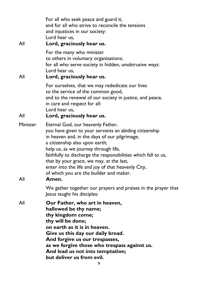| All             | For all who seek peace and guard it,<br>and for all who strive to reconcile the tensions<br>and injustices in our society:<br>Lord hear us,<br>Lord, graciously hear us.                                                                                                                                                                                                                                                                       |
|-----------------|------------------------------------------------------------------------------------------------------------------------------------------------------------------------------------------------------------------------------------------------------------------------------------------------------------------------------------------------------------------------------------------------------------------------------------------------|
| All             | For the many who minister<br>to others in voluntary organisations;<br>for all who serve society in hidden, unobtrusive ways:<br>Lord hear us,<br>Lord, graciously hear us.                                                                                                                                                                                                                                                                     |
|                 | For ourselves, that we may rededicate our lives<br>to the service of the common good,<br>and to the renewal of our society in justice, and peace,<br>in care and respect for all:<br>Lord hear us,                                                                                                                                                                                                                                             |
| All             | Lord, graciously hear us.                                                                                                                                                                                                                                                                                                                                                                                                                      |
| Minister<br>All | Eternal God, our heavenly Father,<br>you have given to your servants an abiding citizenship<br>in heaven and, in the days of our pilgrimage,<br>a citizenship also upon earth;<br>help us, as we journey through life,<br>faithfully to discharge the responsibilities which fall to us,<br>that by your grace, we may, at the last,<br>enter into the life and joy of that heavenly City,<br>of which you are the builder and maker.<br>Amen. |
|                 | We gather together our prayers and praises in the prayer that<br>Jesus taught his disciples:                                                                                                                                                                                                                                                                                                                                                   |
| All             | Our Father, who art in heaven,<br>hallowed be thy name;<br>thy kingdom come;<br>thy will be done;<br>on earth as it is in heaven.<br>Give us this day our daily bread.<br>And forgive us our trespasses,<br>as we forgive those who trespass against us.<br>And lead us not into temptation;<br>but deliver us from evil.                                                                                                                      |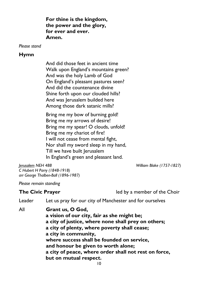**For thine is the kingdom, the power and the glory, for ever and ever. Amen.**

*Please stand*

#### **Hymn**

And did those feet in ancient time Walk upon England's mountains green? And was the holy Lamb of God On England's pleasant pastures seen? And did the countenance divine Shine forth upon our clouded hills? And was Jerusalem builded here Among those dark satanic mills?

Bring me my bow of burning gold! Bring me my arrows of desire! Bring me my spear! O clouds, unfold! Bring me my chariot of fire! I will not cease from mental fight, Nor shall my sword sleep in my hand, Till we have built Jerusalem In England's green and pleasant land.

*Jerusalem NEH 488 William Blake (1757-1827) William Blake (1757-1827) C Hubert H Parry (1848-1918) arr George Thalben-Ball (1896-1987)*

*Please remain standing*

| <b>The Civic Prayer</b> |                                                                                                                                                                                                                                                                                                                                                                              | led by a member of the Choir                             |  |  |
|-------------------------|------------------------------------------------------------------------------------------------------------------------------------------------------------------------------------------------------------------------------------------------------------------------------------------------------------------------------------------------------------------------------|----------------------------------------------------------|--|--|
| Leader                  |                                                                                                                                                                                                                                                                                                                                                                              | Let us pray for our city of Manchester and for ourselves |  |  |
| All                     | Grant us, O God,<br>a vision of our city, fair as she might be;<br>a city of justice, where none shall prey on others;<br>a city of plenty, where poverty shall cease;<br>a city in community,<br>where success shall be founded on service,<br>and honour be given to worth alone;<br>a city of peace, where order shall not rest on force,<br>but on mutual respect.<br>10 |                                                          |  |  |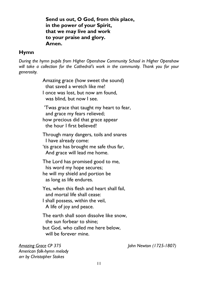**Send us out, O God, from this place, in the power of your Spirit, that we may live and work to your praise and glory. Amen.**

#### **Hymn**

*During the hymn pupils from Higher Openshaw Community School in Higher Openshaw will take a collection for the Cathedral's work in the community. Thank you for your generosity.*

> Amazing grace (how sweet the sound) that saved a wretch like me! I once was lost, but now am found, was blind, but now I see. 'Twas grace that taught my heart to fear, and grace my fears relieved; how precious did that grace appear the hour I first believed! Through many dangers, toils and snares I have already come: 'tis grace has brought me safe thus far, And grace will lead me home. The Lord has promised good to me, his word my hope secures; he will my shield and portion be as long as life endures. Yes, when this flesh and heart shall fail, and mortal life shall cease: I shall possess, within the veil, A life of joy and peace. The earth shall soon dissolve like snow,

 the sun forbear to shine; but God, who called me here below, will be forever mine.

*Amazing Grace CP 375 John Newton (1725-1807) [American](https://www.hymnal.net/en/search/all/composer/Traditional+American+melody?t=h&n=313) folk-hymn melody arr by Christopher Stokes*